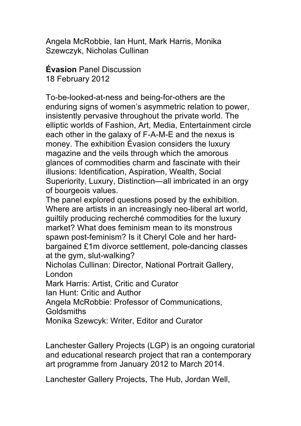Angela McRobbie, Ian Hunt, Mark Harris, Monika Szewczyk, Nicholas Cullinan

**Évasion** Panel Discussion 18 February 2012

To-be-looked-at-ness and being-for-others are the enduring signs of women's asymmetric relation to power, insistently pervasive throughout the private world. The elliptic worlds of Fashion, Art, Media, Entertainment circle each other in the galaxy of F-A-M-E and the nexus is money. The exhibition Évasion considers the luxury magazine and the veils through which the amorous glances of commodities charm and fascinate with their illusions: Identification, Aspiration, Wealth, Social Superiority, Luxury, Distinction—all imbricated in an orgy of bourgeois values.

The panel explored questions posed by the exhibition. Where are artists in an increasingly neo-liberal art world, guiltily producing recherché commodities for the luxury market? What does feminism mean to its monstrous spawn post-feminism? Is it Cheryl Cole and her hardbargained £1m divorce settlement, pole-dancing classes at the gym, slut-walking?

Nicholas Cullinan: Director, National Portrait Gallery, London

Mark Harris: Artist, Critic and Curator

Ian Hunt: Critic and Author

Angela McRobbie: Professor of Communications,

**Goldsmiths** 

Monika Szewcyk: Writer, Editor and Curator

Lanchester Gallery Projects (LGP) is an ongoing curatorial and educational research project that ran a contemporary art programme from January 2012 to March 2014.

Lanchester Gallery Projects, The Hub, Jordan Well,